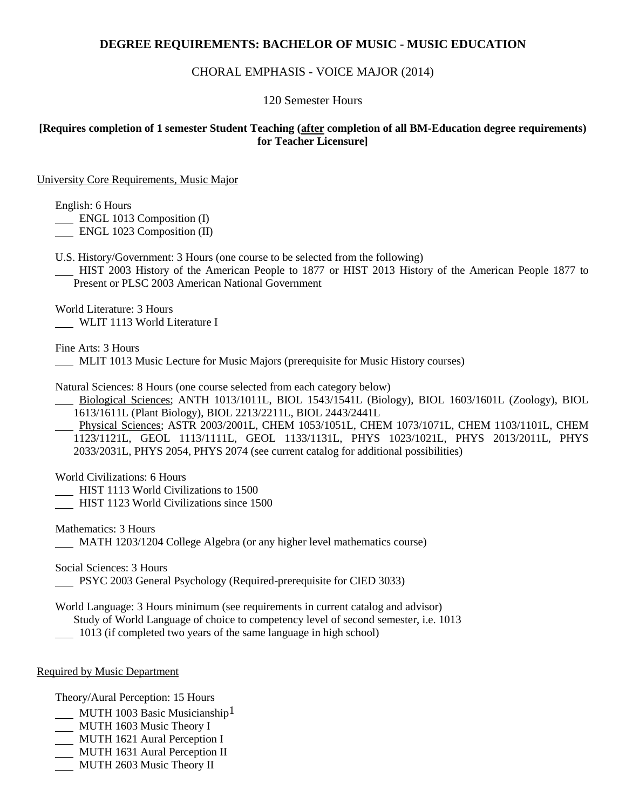# **DEGREE REQUIREMENTS: BACHELOR OF MUSIC - MUSIC EDUCATION**

## CHORAL EMPHASIS - VOICE MAJOR (2014)

### 120 Semester Hours

### **[Requires completion of 1 semester Student Teaching (after completion of all BM-Education degree requirements) for Teacher Licensure]**

University Core Requirements, Music Major

English: 6 Hours

**ENGL 1013 Composition (I)** 

ENGL 1023 Composition (II)

U.S. History/Government: 3 Hours (one course to be selected from the following)

 HIST 2003 History of the American People to 1877 or HIST 2013 History of the American People 1877 to Present or PLSC 2003 American National Government

World Literature: 3 Hours WLIT 1113 World Literature I

Fine Arts: 3 Hours

MLIT 1013 Music Lecture for Music Majors (prerequisite for Music History courses)

Natural Sciences: 8 Hours (one course selected from each category below)

 Biological Sciences; ANTH 1013/1011L, BIOL 1543/1541L (Biology), BIOL 1603/1601L (Zoology), BIOL 1613/1611L (Plant Biology), BIOL 2213/2211L, BIOL 2443/2441L

 Physical Sciences; ASTR 2003/2001L, CHEM 1053/1051L, CHEM 1073/1071L, CHEM 1103/1101L, CHEM 1123/1121L, GEOL 1113/1111L, GEOL 1133/1131L, PHYS 1023/1021L, PHYS 2013/2011L, PHYS 2033/2031L, PHYS 2054, PHYS 2074 (see current catalog for additional possibilities)

World Civilizations: 6 Hours

HIST 1113 World Civilizations to 1500

HIST 1123 World Civilizations since 1500

Mathematics: 3 Hours MATH 1203/1204 College Algebra (or any higher level mathematics course)

Social Sciences: 3 Hours

PSYC 2003 General Psychology (Required-prerequisite for CIED 3033)

World Language: 3 Hours minimum (see requirements in current catalog and advisor) Study of World Language of choice to competency level of second semester, i.e. 1013

1013 (if completed two years of the same language in high school)

### Required by Music Department

Theory/Aural Perception: 15 Hours

MUTH 1003 Basic Musicianship<sup>1</sup>

- MUTH 1603 Music Theory I
- MUTH 1621 Aural Perception I
- MUTH 1631 Aural Perception II
- MUTH 2603 Music Theory II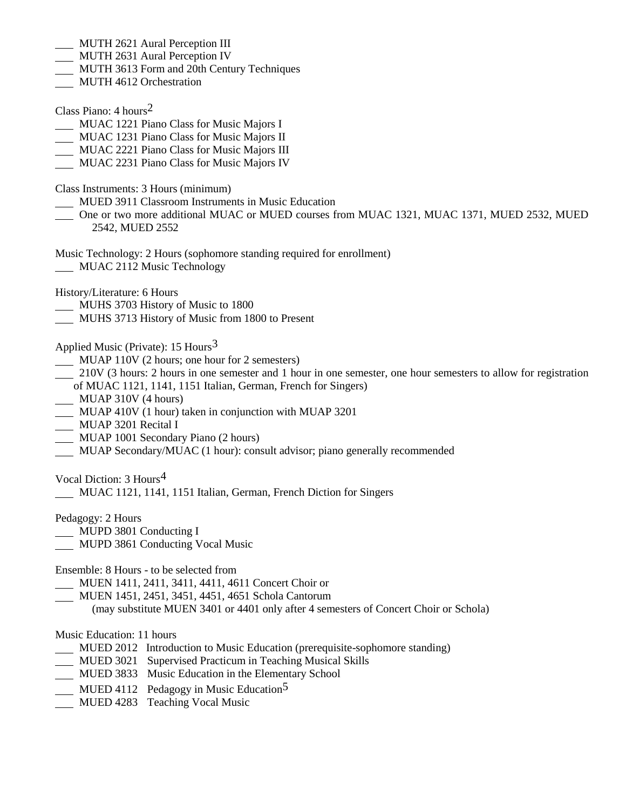- MUTH 2621 Aural Perception III
- **MUTH 2631 Aural Perception IV**
- MUTH 3613 Form and 20th Century Techniques
- **MUTH 4612 Orchestration**
- Class Piano: 4 hours2
- MUAC 1221 Piano Class for Music Majors I
- MUAC 1231 Piano Class for Music Majors II
- MUAC 2221 Piano Class for Music Majors III
- MUAC 2231 Piano Class for Music Majors IV
- Class Instruments: 3 Hours (minimum)
- MUED 3911 Classroom Instruments in Music Education
- One or two more additional MUAC or MUED courses from MUAC 1321, MUAC 1371, MUED 2532, MUED 2542, MUED 2552
- Music Technology: 2 Hours (sophomore standing required for enrollment)
- MUAC 2112 Music Technology
- History/Literature: 6 Hours
- MUHS 3703 History of Music to 1800
- MUHS 3713 History of Music from 1800 to Present
- Applied Music (Private):  $15$  Hours<sup>3</sup>
- MUAP 110V (2 hours; one hour for 2 semesters)
- 210V (3 hours: 2 hours in one semester and 1 hour in one semester, one hour semesters to allow for registration of MUAC 1121, 1141, 1151 Italian, German, French for Singers)
- MUAP 310V (4 hours)
- MUAP 410V (1 hour) taken in conjunction with MUAP 3201
- **MUAP 3201 Recital I**
- MUAP 1001 Secondary Piano (2 hours)
- MUAP Secondary/MUAC (1 hour): consult advisor; piano generally recommended

Vocal Diction: 3 Hours4

MUAC 1121, 1141, 1151 Italian, German, French Diction for Singers

Pedagogy: 2 Hours

- MUPD 3801 Conducting I
- MUPD 3861 Conducting Vocal Music

Ensemble: 8 Hours - to be selected from

- MUEN 1411, 2411, 3411, 4411, 4611 Concert Choir or
- MUEN 1451, 2451, 3451, 4451, 4651 Schola Cantorum

(may substitute MUEN 3401 or 4401 only after 4 semesters of Concert Choir or Schola)

### Music Education: 11 hours

- MUED 2012 Introduction to Music Education (prerequisite-sophomore standing)
- MUED 3021 Supervised Practicum in Teaching Musical Skills
- MUED 3833 Music Education in the Elementary School
- $\underline{\hspace{1cm}}$  MUED 4112 Pedagogy in Music Education<sup>5</sup>
- **MUED 4283 Teaching Vocal Music**